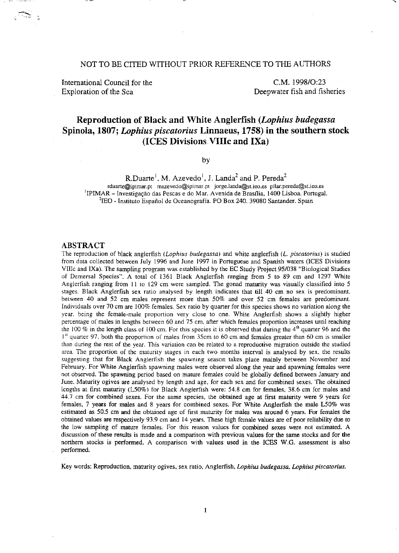## NOT TO BE CITED WITHOUT PRIOR REFERENCE TO THE AUTHORS

International Council for the Exploration of the Sea

C.M.1998/0:23 Deepwater fish and fisheries

# **Reproduction of Black and White Anglerfish** *(Lophius budegassa*  **Spinola, 1807;** *Lophius piscatorius* **Linnaeus, 1758) in the southern stock (ICES Divisions VIlle and IXa)**

by

R.Duarte<sup>1</sup>, M. Azevedo<sup>1</sup>, J. Landa<sup>2</sup> and P. Pereda<sup>2</sup> **rduarte@ipimar.pt mazevedo@ipimar.pt jorge.landa@st.ieo,es pilar.pereda@st.ieo.es**  <sup>1</sup>IPIMAR - Investigação das Pescas e do Mar. A venida de Brasília, 1400 Lisboa. Portugal.

<sup>2</sup>IEO - Instituto Español de Oceanografía. PO Box 240. 39080 Santander. Spain

#### **ABSTRACT**

The reproduction of black anglerfish *(Lophius budegassa)* and white anglerfish (L. *piscatorius)* is studied from data collected between July 1996 and June 1997 in Portuguese and Spanish waters (ICES Divisions VIIIc and IXa). The sampling program was established by the EC Study Project 95/038 "Biological Studies of Demersal Species". A total of 1361 Black Anglerfish ranging from 5 to 89 cm and 1297 White Anglerfish ranging from 11 to 129 cm were sampled. The gonad maturity was visually classified into 5 stages. Black Anglerfish sex ratio analysed by length indicates that till 40 cm no sex is predominant. **between 40 and 52 em males represent more than 50% and over 52 em females are predominant. Individuals over 70 em are 100% females. Sex ratio by quarter for this species shows no variation along the**  year. being the female-male proportion very close to one. White Anglerfish shows a slightly higher **percentage of males in lengths between 60 and 75 em. after which females proportion increases until reaching**  the 100  $\%$  in the length class of 100 cm. For this species it is observed that during the 4<sup>th</sup> quarter 96 and the 1<sup>st</sup> quarter 97, both the proportion of males from 35cm to 60 cm and females greater than 60 cm is smaller **than during the rest of the year. This variation can be related to a reproductive migration outside the studied area. The proportion of the maturity stages in each two months interval is analysed by sex, the results suggesting that for Black Anglerfish the spawning season takes place mainly between November and February. For White Anglerfish spawning males were observed along the year and spawning females were**  not observed. The spawning period based on mature females could be globally defined between January and June. Maturity ogives are analysed by length and age, for each sex and for combined sexes. The obtained lengths at first maturity (L50%) for Black Anglerfish were: 54.8 cm for females. 38.6 cm for males and **44.7 ern for combined sexes. For the same species, the obtained age at first maturity were 9 years for**  females, 7 years for males and 8 years for combined sexes. For White Anglerfish the male L50% was estimated as 50.5 cm and the obtained age of first maturity for males was around 6 years. For females the obtained values are respectively 93.9 cm and 14 years. These high female values are of poor reliability due to the low sampling of mature females. For this reason values for combined sexes were not estimated. A **discussion of these results is made and a comparison with previous values for the same stocks and for the**  northern stocks is performed. A comparison with values used in the ICES W.G. assessment is also perfonned.

Key words: Reproduction. maturity ogives, sex ratio, Anglerfish. *Lophius budegassa, Lophius piscatorius.*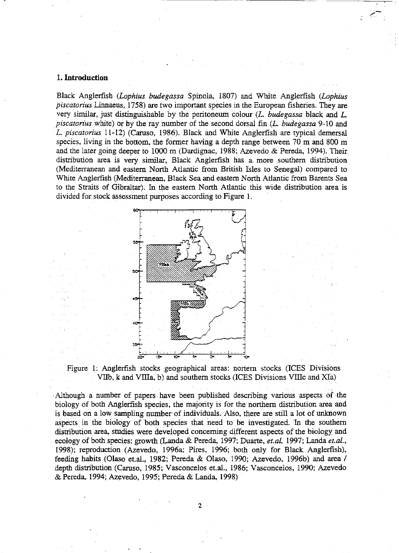## 1. **Introduction**

Black Anglerfish *(Lophius budegassa* Spinola, 1807) and White Anglerfish *(Lophius piscatorius* Linnaeus, 1758) are two important species in the European fisheries. They are very similar, just distinguishable by the peritoneum colour (L. *budegassa* black and L. *piscaton'us* white) or by the ray number of the second dorsal fin (L. *budegassa* 9-10 and L. *piscatorius* 11-12) (Caruso, 1986). Black and White Anglerfish are typical demersal species, living in the bottom, the former having a depth range between  $70 \text{ m}$  and  $800 \text{ m}$ and the later going deeper to 1000 m (Dardignac, 1988; Azevedo & Pereda, 1994). Their distribution area is very similar, Black Anglerfish has a. more southern distribution (Mediterranean and eastern North Atlantic from British Isles to Senegal) compared to White Anglerfish (Mediterranean, Black Sea and eastern North Atlantic from Barents Sea to the Straits of Gibraltar). In the eastern North Atlantic this wide distribution area is divided for stock assessment purposes according to Figure 1.





Although a number of papers have been published describing various aspects of the biology of both Anglerfish species, the majority is for the northern distribution area and is based on a low sampling number of individuals. Also, there are still a lot of unknown aspects. in the biology of both species that need to be investigated. In the southern distribution area, studies were developed concerning different aspects of the biology and ecology of both. species: growth (Landa & Pereda, 1997; Duarte, *et.al.* 1997; Landa *et.al.,*  1998); reproduction (Azevedo, 1996a; Pires, 1996; both only for Black Anglerfish), feeding habits (Olaso et.al., 1982; Pereda & Olaso, 1990; Azevedo, 1996b) and area / depth distribution (Caruso, 1985; Vasconcelos et.al., 1986; Vasconcelos, 1990; Azevedo & Pereda, 1994; Azevedo, 1995; Pereda & Landa, 1998)

2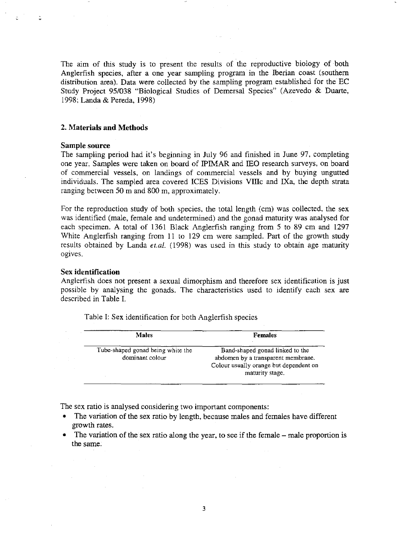The aim of this study is to present the results of the reproductive biology of both Anglerfish species, after a one year sampling program in the Iberian coast (southern distribution area). Data were collected by the sampling program established for the EC Study Project *95/038* "Biological Studies of Demersal Species" (Azevedo & Duarte, 1998; Landa & Pereda, 1998)

## **2. Materials and Methods**

## Sample **source**

The sampling period had it's beginning in July 96 and finished in June 97, completing one year. Samples were taken on board of IPIMAR and lEO research surveys, on board of commercial vessels, on landings of commercial vessels and by buying ungutted individuals. The sampled area covered ICES Divisions VInc and IXa, the depth strata ranging between 50 m and 800 m, approximately.

For the reproduction study of both species, the total length (cm) was collected, the sex was identified (male, female and undetermined) and the gonad maturity was analysed for each specimen. A total of 1361 Black Anglerfish ranging from 5 to 89 cm and 1297 White Anglerfish ranging from 11 to 129 cm were sampled. Part of the growth study results obtained by Landa *et.al.* (1998) was used in this study to obtain age maturity oglves.

## Sex **identification**

 $\frac{1}{2}$  ,  $\frac{1}{2}$  ,

Anglerfish does not present a sexual dimorphism and therefore sex identification is just possible by analysing the gonads. The characteristics used to identify each sex are described in Table 1.

| <b>Males</b>                                         | <b>Females</b>                                                                                                                     |
|------------------------------------------------------|------------------------------------------------------------------------------------------------------------------------------------|
| Tube-shaped gonad being white the<br>dominant colour | Band-shaped gonad linked to the<br>abdomen by a transparent membrane.<br>Colour usually orange but dependent on<br>maturity stage. |

Table I: Sex identification for both Anglerfish species

The sex ratio is analysed considering two important components:

- The variation of the sex ratio by length, because males and females have different growth rates.
- The variation of the sex ratio along the year, to see if the female male proportion is the same.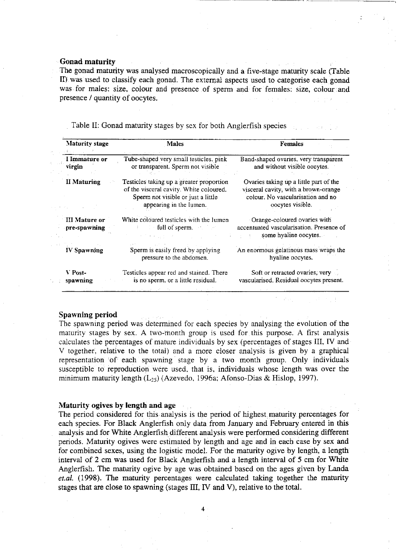## Gonad maturity

The gonad maturity was analysed macroscopically and a five.stage maturity scale (Table II) was used to classify each gonad. The external aspects used to categorise each gonad was for males: size, colour and presence of sperm and for females: size, colour and presence / quantity of oocytes.

- ----,-,--~~~ ---\_.- -------~--- . ---\_ ....

Table II: Gonad maturity stages by sex for both Anglerfish species

| <b>Maturity stage</b>                | <b>Males</b>                                                                                                                                         | <b>Females</b>                                                                                                                          |  |  |  |  |
|--------------------------------------|------------------------------------------------------------------------------------------------------------------------------------------------------|-----------------------------------------------------------------------------------------------------------------------------------------|--|--|--|--|
| I Immature or<br>virgin              | Tube-shaped very small testicles, pink<br>or transparent. Sperm not visible                                                                          | Band-shaped ovaries, very transparent<br>and without visible oocytes.                                                                   |  |  |  |  |
| <b>II Maturing</b>                   | Testicles taking up a greater proportion<br>of the visceral cavity. White coloured.<br>Sperm not visible or just a little<br>appearing in the lumen. | Ovaries taking up a little part of the<br>visceral cavity, with a brown-orange<br>colour. No vascularisation and no<br>oocytes visible. |  |  |  |  |
| <b>III Mature or</b><br>pre-spawning | White coloured testicles with the lumen<br>$\therefore$ full of sperm.                                                                               | Orange-coloured ovaries with<br>accentuated vascularisation. Presence of<br>some hyaline oocytes.                                       |  |  |  |  |
| <b>IV</b> Spawning                   | Sperm is easily freed by applying<br>pressure to the abdomen.                                                                                        | An enormous gelatinous mass wraps the<br>hyaline oocytes.                                                                               |  |  |  |  |
| V Post-<br>spawning                  | Testicles appear red and stained. There<br>is no sperm, or a little residual.                                                                        | Soft or retracted ovaries, very $\sim$<br>vascularised. Residual oocytes present.                                                       |  |  |  |  |

## Spawning period

The spawning period was determined for each species by analysing the evolution of the maturity stages by sex. A two-month group is used for this purpose. A first analysis calculates the percentages of mature individuals by sex (percentages of stages III, IV and V together, relative to the total) and a more closer analysis is given by a graphical representation of each spawning stage by a two month group. Only individuals susceptible to reproduction were used. that is, individuals whose length was over the minimum maturity length  $(L_{25})$  (Azevedo, 1996a; Afonso-Dias & Hislop, 1997).

## Maturity ogives by length and age

The period considered for this analysis is the period of highest maturity percentages for each species. For Black Anglerfish only data from January and February entered in this analysis and for White Anglerfish different analysis were performed considering different periods. Maturity ogives were estimated by length and age and in each case by sex and for combined sexes, using the logistic model. For the maturity ogive by length, a length interval of 2 cm was used for Black Anglerfish and a length interval of 5 cm for White Anglerfish. The maturity ogive by age was obtained based on the ages given by Landa *et.al.* (1998). The maturity percentages were calculated taking together the maturity stages that are close to spawning (stages  $III$ ,  $IV$  and  $V$ ), relative to the total.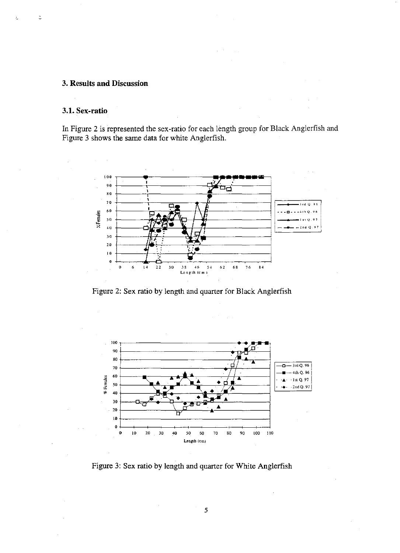## 3. Results and Discussion

## 3.1. Sex-ratio

ċ

In Figure 2 is represented the sex-ratio for each length group for Black Anglerfish and Figure 3 shows the same data for white Anglerfish.



Figure 2: Sex ratio by length and quarter for Black Anglerfish



Figure 3: Sex ratio by length and quarter for White Anglerfish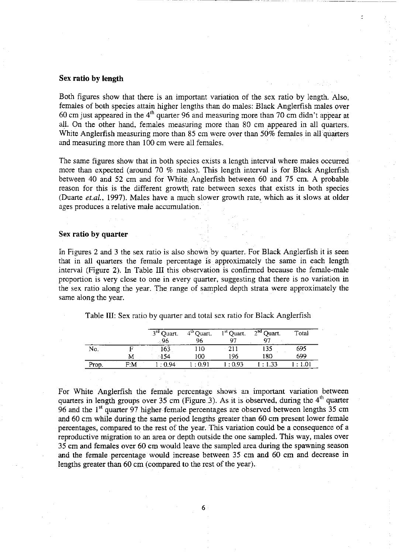## Sex **ratio by length**

Both figures show that there is an important variation of the sex ratio by length. Also, females of both species attain higher lengths than do males: Black Anglerfish males over 60 cm just appeared in the  $4<sup>th</sup>$  quarter 96 and measuring more than 70 cm didn't appear at all. On the other hand, females measuring more than 80 cm appeared in all quarters. White Anglerfish measuring more than 85 cm were over than 50% females in all quarters and measuring more than 100 cm were all females.

The same figures show that in both species exists a length interval where males occurred more than expected (around 70 % males). This length interval is for Black Anglerfish between 40 and 52 cm and for White Anglerfish between 60 and 75 cm. A probable reason for this is the different growth rate between sexes that exists in both species (Duarte *et.a!.,* 1997). Males have a much slower growth rate, which as it slows at older ages produces a relative male accumulation.

## Sex **ratio by quarter**

In Figures 2 and 3 the sex ratio is also shown by quarter. For Black Anglerfish it is seen that in all quarters the female percentage is approximately the same in each length interval (Figure 2). In Table III this observation is confirmed because the female-male proportion is very close to one in every quarter, suggesting that there is no variation in the sex ratio along. the year. The range of sampled depth strata were approximately the same along the year.

|                        |     | 3 <sup>rd</sup> Quart.<br>- 96 | 4 <sup>th</sup> Quart.<br>96 | $1st$ Quart.<br>97 | $2nd$ Quart.<br>07 | Total      |
|------------------------|-----|--------------------------------|------------------------------|--------------------|--------------------|------------|
| No.                    |     | 163                            | ' 10                         | -211               | 135                | 695        |
|                        | M   | $\sim$<br>ા 54                 | 100                          | 196                | 180                | 699        |
| $\sim$ $\sim$<br>Prop. | F:M | l:0.94                         | : 0.91                       | $-0.93$            | $\pm 1.33$         | $\pm 1.01$ |

Table III: Sex ratio by quarter and total sex ratio for Black Anglerfish

For White Anglerfish the female percentage shows an important variation between quarters in length groups over 35 cm (Figure 3). As it is observed, during the  $4<sup>th</sup>$  quarter 96 and the  $1<sup>st</sup>$  quarter 97 higher female percentages are observed between lengths 35 cm and 60 cm while during the same period lengths greater than 60 em present lower female percentages, compared to the rest of the year. This variation could be a consequence of a reproductive migration to an area or depth outside the one sampled. This way, males over 35 cm and females over 60 cm would leave the sampled area during the spawning season and the female percentage would increase between 35 cm and 60 em and decrease in lengths greater than 60 cm (compared to the rest of the year).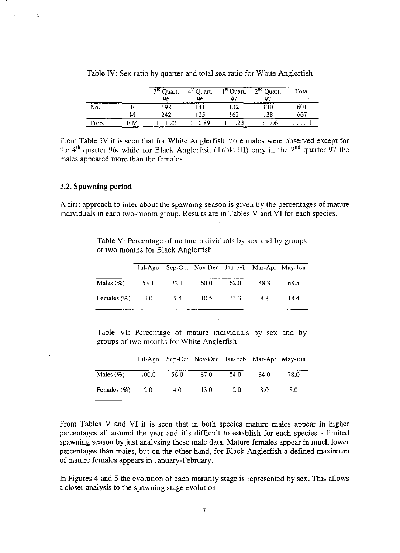|       |    | $3rd$ Quart. | $4th$ Quart. | $1st$ Quart.      | $2nd$ Quart. | Total |
|-------|----|--------------|--------------|-------------------|--------------|-------|
|       |    | 96           | 96           | 97                | 07           |       |
| No.   |    | 198          | 141          | 132               | 130          | 601   |
|       | Μ  | 242          | 125          | 162               | 138          | 667   |
| Prop. | FМ | $\cdot$ 1.22 | l:089        | $\therefore$ 1.23 | $\cdot$ 1.06 |       |

Table IV: Sex ratio by quarter and total sex ratio for White Anglerfish

From Table IV it is seen that for White Anglerfish more males were observed except for the 4<sup>th</sup> quarter 96, while for Black Anglerfish (Table III) only in the 2<sup>nd</sup> quarter 97 the males appeared more than the females.

## 3.2. **Spawning period**

 $\overline{\phantom{a}}$ 

A first approach to infer about the spawning season is given by the percentages of mature individuals in each two-month group. Results are in Tables V and VI for each species.

> Table V: Percentage of mature individuals by sex and by groups of two months for Black Anglerfish

|                |      |      | Jul-Ago Sep-Oct Nov-Dec Jan-Feb Mar-Apr May-Jun |       |      |      |
|----------------|------|------|-------------------------------------------------|-------|------|------|
| Males $(\%)$   | 53.1 | 32.1 | 60.0                                            | 62.0  | 48.3 | 68.5 |
| Females $(\%)$ | 3.0  | 5.4  | 10.5                                            | -33.3 | 8.8  | 18.4 |

Table VI: Percentage of mature individuals by sex and by groups of two months for White Anglerfish

|                |       |      | Jul-Ago Sep-Oct Nov-Dec Jan-Feb Mar-Apr May-Jun |      |      |      |
|----------------|-------|------|-------------------------------------------------|------|------|------|
| Males $(\%)$   | 100.0 | 56.0 | - 87.0                                          | 84.0 | 84.0 | 78.0 |
| Females $(\%)$ | 2.0   | 4.0  | 13.0 12.0                                       |      | 8.0  | 8.0  |

From Tables V and VI it is seen that in both species mature males appear in higher percentages all around the year and it's difficult to establish for each species a limited spawning season by just analysing these male data. Mature females appear in much lower percentages than males, but on the other hand, for Black Anglerfish a defined maximum of mature females appears in January-February.

In Figures 4 and 5 the evolution of each maturity stage is represented by sex. This allows a closer analysis to the spawning stage evolution.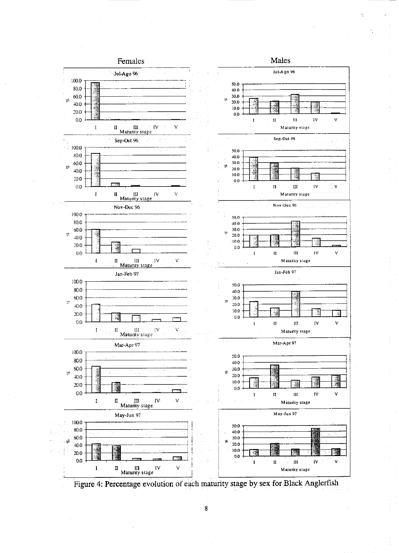

Figure 4: Percentage evolution of each maturity stage by sex for Black Anglerfish

 $\bf 8$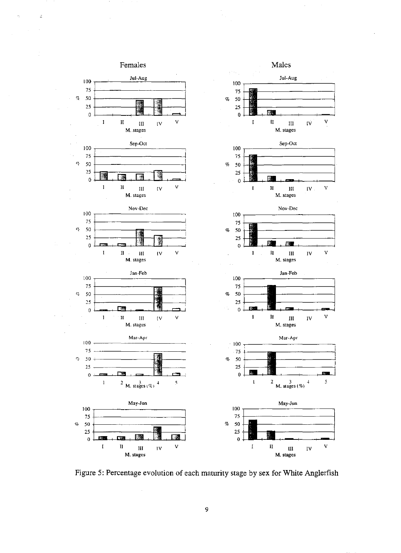

 $\ddot{z}$ 

Figure 5: Percentage evolution of each maturity stage by sex for White Anglerfish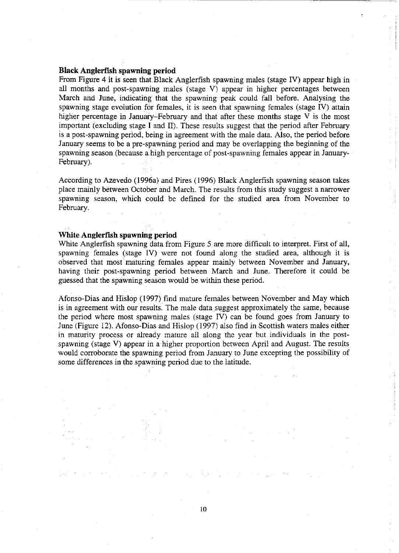## **Black Anglerfish spawning period**

From Figure 4 **it** is seen that Black Anglerfish spawning males (stage IV) appear high in all months and post-spawning males (stage V) appear in higher percentages between March and June, indicating that the spawning peak could fall before. Analysing the spawning stage evolution for females, it is seen that spawning females (stage IV) attain higher percentage in January-February and that after these months stage V is the most important (excluding stage I and II). These results suggest that the period after February is a post-spawning period, being in agreement with the male data. Also, the period before January seems to be a pre-spawning period and may be overlapping the beginning of the spawning season (because a high percentage of post-spawning females appear in January-February).

According to Azevedo (l996a) and Pires (1996) Black Anglerfish spawning season takes place mainly between October and March. The results from this study suggest a narrower spawning season, which could be defined for the studied area from November to February.

## White. Anglerflsh **spawning period**

White Anglerfish spawning data from Figure 5 are more difficult to interpret. First of all, spawning females (stage IV) were not found along the studied area, although it is observed that most maturing females appear mainly between November and January, having their post-spawning period between March and June. Therefore it could be guessed that the spawning season would be within these period.

Afonso-Dias and Hislop (1997) find mature females between November and May which is in agreement with our results. The male data suggest approximately the same, because the period where most spawning males (stage IV) can be found goes from January to June (Figure 12). Afonso-Dias and Hislop (1997) also find in Scottish waters males either in maturity process or already mature all along the year but individuals in the postspawning (stage V) appear in a higher proportion between April and August. The results would corroborate the spawning period from January to June excepting the possibility of some differences in the spawning period due to the latitude.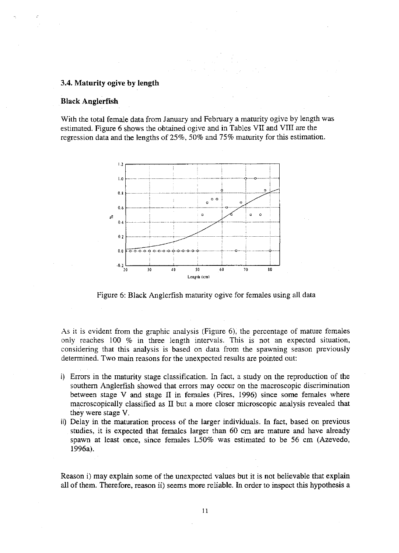## 3.4. Maturity ogive by length

## **Black Anglerfish**

With the total female data from January and February a maturity ogive by length was estimated. Figure 6 shows the obtained ogive and in Tables VII and VIII are the regression data and the lengths of  $25\%$ , 50% and 75% maturity for this estimation.



Figure 6: Black Anglerfish maturity ogive for females using all data

As it is evident from the graphic analysis (Figure 6), the percentage of mature females only reaches 100 % in three length intervals. This is not an expected situation, considering that this analysis is based on data from the spawning season previously determined. Two main reasons for the unexpected results are pointed out:

- i) Errors in the maturity stage classification. In fact, a study on the reproduction of the southern Anglerfish showed that errors may occur on the macroscopic discrimination between stage V and stage II in females (Pires, 1996) since some females where macroscopically classified as II but a more closer microscopic analysis revealed that they were stage V.
- ii) Delay in the maturation process of the larger individuals. In fact, based on previous studies, it is expected that females larger than 60 cm are mature and have already spawn at least once, since females L50% was estimated to be 56 cm (Azevedo, 1996a).

Reason i) may explain some of the unexpected values but it is not believable that explain all of them. Therefore, reason ii) seems more reliable. In order to inspect this hypothesis a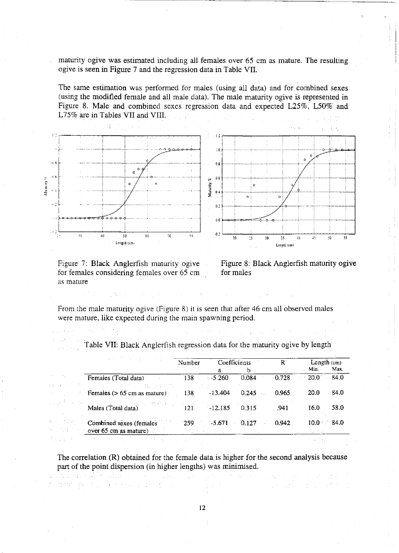maturity ogive was estimated including all females over 65 cm as mature. The resulting ogive is seen in Figure 7 and the regression data in Table VII.

The same estimation was performed for males (using all data) and for combined sexes (using the modified female and all male data). The male maturity ogive is represented in Figure 8. Male and combined sexes regression data and expected L25%, L50% and L75% are in Tables VII and VIII.



Figure 7: Black Anglerfish maturity ogive for females considering females over 65 cm as mature

 $\frac{1}{2} \left( \frac{1}{4} \right)^{\frac{1}{2}}$ 

ale order 일반 함비 다시 かいじょうや

andari askolake utar

经地位 医心包的 医无心动脉 医血管腔

Figure 8: Black Anglerfish maturity ogive for males

 $\mathbb{R}^n_+$ 

From the male maturity ogive (Figure 8) it is seen that after 46 cm all observed males were mature, like expected during the main spawning period.

| 电子管 化四苯二甲基                                       | Number | Coefficients |                         | $\mathbb{R}^n$ | Length $(cm)$ |      |
|--------------------------------------------------|--------|--------------|-------------------------|----------------|---------------|------|
|                                                  |        | а            | b                       |                | Min.          | Max. |
| Females (Total data)<br>$-138$<br>化重制 化甲基苯甲基苯基苯  |        | $-5.260$     | 0.084                   | 0.728          | $-20.0$       | 84.0 |
| Females ( $> 65$ cm as mature) $\qquad$ 138      |        | $-13.404$    | 0.245                   | 0.965          | <b>20.0</b>   | 84.0 |
| Males (Total data) $121 -12.185$                 |        |              | 0.315                   | .941           | 16.0          | 58.0 |
| Combined sexes (females<br>over 65 cm as mature) | - 259  | $-5.671$     | 0.127<br>$\sim 10^{11}$ | 0.942          | 10.0          | 84.0 |

Table VII: Black Anglerfish regression data for the maturity ogive by length

The correlation (R) obtained for the female data is higher for the second analysis because part of the point dispersion (in higher lengths) was minimised.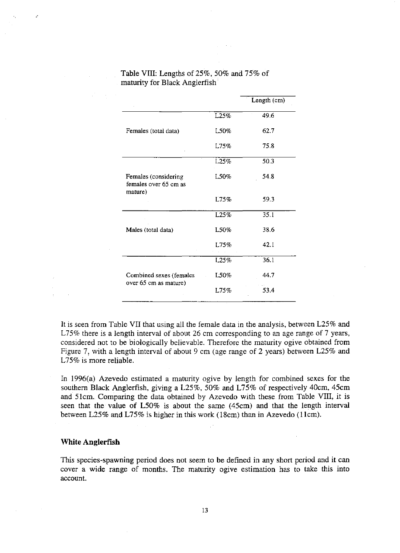|                                                          |          | Length (cm) |
|----------------------------------------------------------|----------|-------------|
|                                                          | L25%     | 49.6        |
| Females (total data)                                     | L50%     | 62.7        |
|                                                          | L75%     | 75.8        |
|                                                          | L25%     | 50.3        |
| Females (considering<br>females over 65 cm as<br>mature) | $1.50\%$ | 54.8        |
|                                                          | L75%     | 59.3        |
|                                                          | L25%     | 35.1        |
| Males (total data)                                       | L50%     | 38.6        |
|                                                          | L75%     | 42.1        |
|                                                          | L25%     | 36.1        |
| Combined sexes (females<br>over 65 cm as mature)         | L50%     | 44.7        |
|                                                          | L75%     | 53.4        |
|                                                          |          |             |

## Table VIII: Lengths of25%, 50% and 75% of maturity for Black Anglerfish

It is seen from Table VII that using all the female data in the analysis, between L25% and L75% there is a length interval of about 26 cm corresponding to an age range of 7 years, considered not to be biologically believable. Therefore the maturity ogive obtained from Figure 7, with a length interval of about 9 cm (age range of 2 years) between L25% and L75% is more reliable.

In 1996(a) Azevedo estimated a maturity ogive by length for combined sexes for the southern Black Anglerfish, giving a L25%, 50% and L75% of respectively 40cm, 45cm and 5lcm. Comparing the data obtained by Azevedo with these from Table VIII, it is seen that the value of L50% is about the same (45cm) and that the length interval between L25% and L75% is higher in this work (18cm) than in Azevedo (1lcm).

## **White Anglerfish**

This species-spawning period does not seem to be defined in any short period and it can cover a wide range of months. The maturity ogive estimation has to take this into account.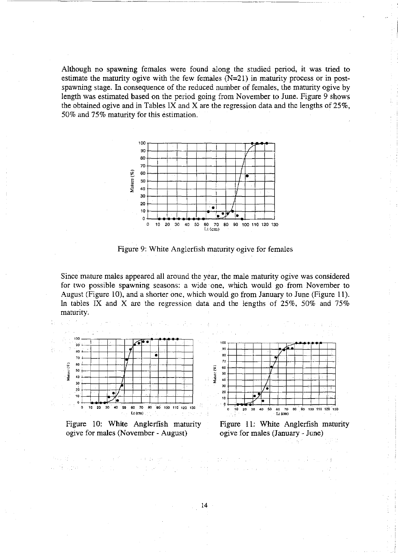Although no spawning females were found along the studied period, it was tried to estimate the maturity ogive with the few females (N=21) in maturity process or in postspawning stage. In consequence of the reduced number of females, the maturity ogive by length was estimated based on the period going from November to June. Figure 9 shows the obtained ogive and in Tables IX and X are the regression data and the lengths of 25%, 50% and 75% maturity for this estimation.



Figure 9: White Anglerfish maturity ogive for females

Since mature males appeared all around the year, the male maturity ogive was considered for two possible spawning seasons: a wide one, which would go from November to August (Figure 10), and a shorter one, which would go from January to June (Figure II). In tables IX and X are the regression data and the lengths of  $25\%$ ,  $50\%$  and  $75\%$ maturity.



Figure 10: White Anglerfish maturity ogive for males (November - August)

一、大概, 地区, 一个主

 $\mathcal{D}^{\mathcal{A}}=\left\{ \mathcal{D}^{\mathcal{A}}_{\mathcal{A}}\right\} \cup \left\{ \mathcal{D}^{\mathcal{A}}_{\mathcal{A}}\right\} \cup \left\{ \mathcal{D}^{\mathcal{A}}_{\mathcal{A}}\right\} \cup \left\{ \mathcal{D}^{\mathcal{A}}_{\mathcal{A}}\right\} \cup \left\{ \mathcal{D}^{\mathcal{A}}_{\mathcal{A}}\right\} \cup \left\{ \mathcal{D}^{\mathcal{A}}_{\mathcal{A}}\right\} \cup \left\{ \mathcal{D}^{\mathcal{A}}_{\mathcal{A}}\right\$ 

网络最高级 医心脏 医单位

4. 使风趣的 计可分类的

![](_page_13_Figure_6.jpeg)

Figure II: White Anglerfish maturity ogive for males (January - June)

 $\mathbb{E}[\mathcal{E}^{\mathcal{A}}(t)]$  ,  $\mathcal{E}^{\mathcal{A}}(t)$  ,  $\mathcal{E}^{\mathcal{A}}(t)$  ,  $\mathcal{E}^{\mathcal{A}}(t)$  , and

 $\mathcal{A}(\mathcal{F})$  is a set  $\mathcal{F}(\mathcal{F})$  , and  $\mathcal{F}(\mathcal{F})$  , and then  $\mathcal{F}(\mathcal{F})$ 

14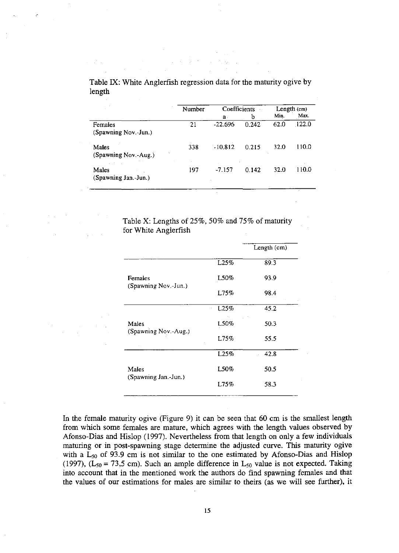|                                 | Number | Coefficients |       | Length (cm) |       |  |
|---------------------------------|--------|--------------|-------|-------------|-------|--|
|                                 |        | $a$ .        | b     | Min.        | Max.  |  |
| Females<br>(Spawning Nov.-Jun.) | 21     | $-22.696$    | 0.242 | 62.0        | 122.0 |  |
| Males<br>(Spawning Nov.-Aug.)   | 338    | $-10.812$    | 0.215 | 32.0        | 110.0 |  |
| Males<br>(Spawning Jan.-Jun.)   | 197    | $-7.157$     | 0.142 | 32.0        | 110.0 |  |

Table IX: White Anglerfish regression data for the maturity ogive by length

> Table X: Lengths of 25%, 50% and 75% of maturity for White Anglerfish

|                      |       | Length (cm) |
|----------------------|-------|-------------|
|                      | L25%  | 89.3        |
| Females              | L50%  | 93.9        |
| (Spawning Nov.-Jun.) | L75%  | 98.4        |
| Males                | L25%  | 45.2        |
|                      | L50%  | 50.3        |
| (Spawning Nov.-Aug.) | 1.75% | 55.5        |
|                      | L25%  | 42.8        |
| Males                | L50%  | 50.5        |
| (Spawning Jan.-Jun.) | L75%  | 58.3        |

In the female maturity ogive (Figure 9) it can be seen that 60 em is the smallest length from which some females are mature, which agrees with the length values observed by Afonso-Dias and Hislop (1997). Nevertheless from that length on only a few individuals maturing or in post-spawning stage determine the adjusted curve. This maturity ogive with a  $L_{50}$  of 93.9 cm is not similar to the one estimated by Afonso-Dias and Hislop (1997),  $(L_{50} = 73.5 \text{ cm})$ . Such an ample difference in  $L_{50}$  value is not expected. Taking into account that in the mentioned work the authors do find spawning females and that the values of our estimations for males are similar to theirs (as we will see further), it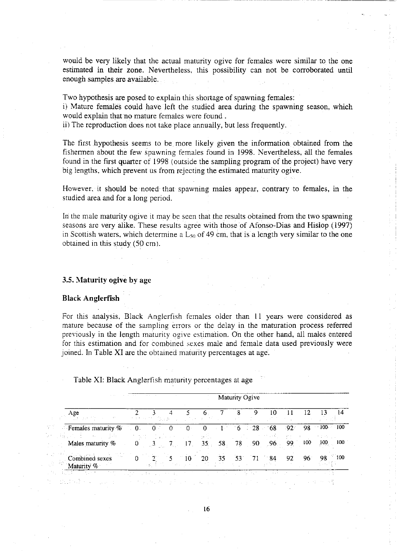would be very likely that the actual maturity ogive for females were similar to the one estimated in their zone. Nevertheless, this possibility can not be corroborated until enough samples are available.

Two hypothesis are posed to explain this shortage of spawning females:

i) Mature females could have left the studied area during the spawning season, which would explain that no mature females were found.

ii) The reproduction does not take place annually, but less frequently.

The first hypothesis seems to be more likely given the information obtained from the fishermen about the few spawning females found in 1998. Nevertheless, all the females found in the first quarter of 1998 (outside the sampling program of the project) have very big lengths, which prevent us from rejecting the estimated maturity ogive.

However. it should be noted that spawning males appear, contrary to females, in the studied area and for a long period.

In the male maturity ogive it may be seen that the results obtained from the two spawning seasons are very alike. These results agree with those of Afonso-Dias and Hislop (1997) in Scottish waters, which determine a  $L_{50}$  of 49 cm, that is a length very similar to the one obtained in this study (50 em).

## 3.5. Maturity ogive by age

#### Black Anglerfish

For this analysis, Black Anglerfish females older than 11 years were considered as mature because of the sampling errors or the delay in the maturation process referred previously in the length maturity ogive estimation. On the other hand, all males entered for this estimation and for combined sexes male and female data used previously were joined. In Table XI are the obtained maturity percentages at age.

|    |                                           |                    |         |          |                             |                    |                 |    | Maturity Ogive  |                 |      |     |                  |
|----|-------------------------------------------|--------------------|---------|----------|-----------------------------|--------------------|-----------------|----|-----------------|-----------------|------|-----|------------------|
|    | Age                                       | And a straight for | 不如 人 如人 |          | control of the control with |                    |                 |    |                 |                 |      | 12  |                  |
|    | <b>Females maturity <math>\%</math></b>   | $\overline{0}$     | $0^-$   | $\alpha$ | $\Omega$                    | $\theta$<br>ing Pr | $\approx 14$    |    | $6 \t 28 \t 68$ | 10,000          | :92- |     | $98 - 100 - 100$ |
|    | Males maturity %                          |                    |         | 7.       | 17 <sub>1</sub>             | $35 -$             | 58 <sub>1</sub> | 78 | $-90$           | 96 <sub>1</sub> | 99   | 100 | 100<br>- 100     |
| ÷. | Combined sexes<br>-47<br>vlaturity $\%$ . |                    |         |          | 10<br>ina province          | 20                 | 35              | 53 | 71              | - 84            | 92   | 96. | 100<br>98        |

Table XI: Black Anglerfish maturity percentages at age

16

 $\hat{V}_k = \frac{1}{2} \left( \hat{V}_{k} \right)$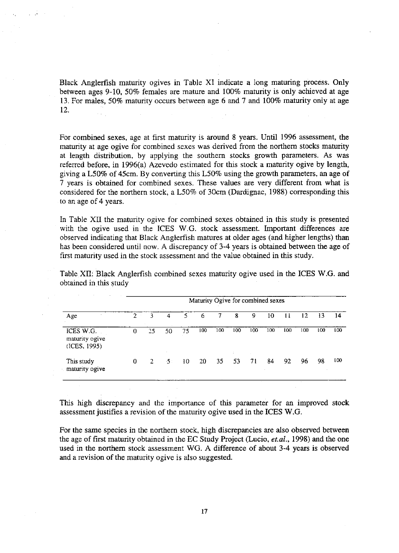Black Anglerfish maturity ogives in Table XI indicate a long maturing process. Only between ages 9-10, 50% females are mature and 100% maturity is only achieved at age 13. For males, 50% maturity occurs between age 6 and 7 and 100% maturity only at age 12.

For combined sexes, age at first maturity is around 8 years. Until 1996 assessment, the maturity at age ogive for combined sexes was derived from the northern stocks maturity at length distribution, by applying the southern stocks growth parameters. As was referred before, in 1996(a) Azevedo estimated for this stock a maturity ogive by length, giving a L50% of 45cm. By converting this L50% using the growth parameters, an age of 7 years is obtained for combined sexes. These values are very different from what is considered for the northern stock, a L50% of 30cm (Dardignac, 1988) corresponding this to an age of 4 years.

In Table XII the maturity ogive for combined sexes obtained in this study is presented with the ogive used in the ICES W.G. stock assessment. Important differences are observed indicating that Black Anglerfish matures at older ages (and higher lengths) than has been considered until now. A discrepancy of 3-4 years is obtained between the age of first maturity used in the stock assessment and the value obtained in this study.

| Age                                         |   | Maturity Ogive for combined sexes |     |    |     |     |          |     |     |     |     |     |     |
|---------------------------------------------|---|-----------------------------------|-----|----|-----|-----|----------|-----|-----|-----|-----|-----|-----|
|                                             | 2 | 3                                 | 4   | 5. | 6   |     | 8        | 9   | 10  | 11  | 12  | 13  | 14  |
| ICES W.G.<br>maturity ogive<br>(ICES, 1995) | 0 | 25                                | 50  | 75 | 100 | 100 | 100      | 100 | 100 | 100 | 100 | 100 | 100 |
| This study<br>maturity ogive                | 0 | 2.                                | -51 | 10 | 20  | 35  | ×.<br>53 | 71  | 84  | 92  | 96  | 98  | 100 |

Table XII: Black Anglerfish combined sexes maturity ogive used in the ICES W.G. and obtained in this study

This high discrepancy and the importance of this parameter for an improved stock assessment justifies a revision of the maturity ogive used in the ICES W.O.

For the same species in the northern stock, high discrepancies are also observed between the age of first maturity obtained in the EC Study Project (Lucio, *et.al.*, 1998) and the one used in the northern stock assessment WG. A difference of about 3-4 years is observed and a revision of the maturity ogive is also suggested.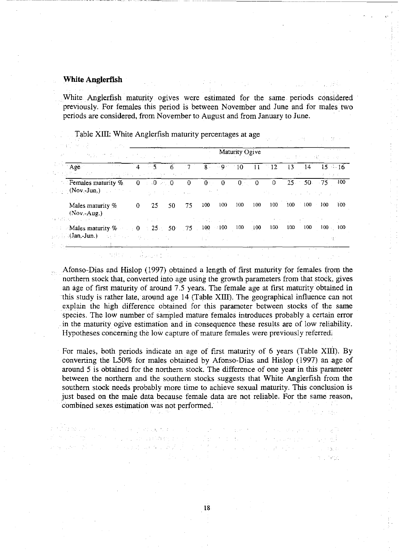## **White Anglerflsh**

riger gel

. White Anglerfish maturity ogives were estimated for the same periods considered previously. For females this period is between November and June and for males two periods are considered, from November to August and from January to June.

| 法定 计自动开关                                                                                                                                                                                                                |   |                   |    |                |                |           |        |                    |                         |     |                  |                                                          |
|-------------------------------------------------------------------------------------------------------------------------------------------------------------------------------------------------------------------------|---|-------------------|----|----------------|----------------|-----------|--------|--------------------|-------------------------|-----|------------------|----------------------------------------------------------|
| set of the problem for a set that is concerted                                                                                                                                                                          |   |                   |    | Maturity Ogive |                |           |        |                    | (A) のないまた A) は読みます A のこ |     |                  |                                                          |
| Age<br>of Google<br>被使激怒 化二烯酸二乙烯 法诉讼转让 自由法定的海关 人名马斯                                                                                                                                                                     | 4 |                   |    |                | 8.             | $-9 - 10$ |        | 11                 | $^{\circ}12 - 13$       |     | $-14$            | $15 - 16$                                                |
| <b>Example Figure</b> Fernales maturity $\%$ .<br>$\mathbf{C} = \mathbf{C}(\mathbf{Nov}, \mathbf{Jun}, \mathbf{C})$                                                                                                     |   | $0 \div 0 \div 0$ |    | $\overline{0}$ | 0 <sub>0</sub> |           | $01$ 0 |                    | 0.                      |     |                  | $25 - 50 - 75 - 100$<br>and the company of the same pro- |
| Males maturity %<br>$(Nov.-Aug.)$<br>25.12.3 - Section 1996                                                                                                                                                             | 0 | 25                | 50 | 75             | 100            | 100       | 100    | 100                | 100                     | 100 | 100              | 100<br>100                                               |
| and the state of the state of the state of<br><b>Males maturity %</b> 0 25 50 75 100 100 100 100<br>$\phi_{\rm eff}(\mathrm{Jan},\mathrm{Jun.})$ , we have a specific contribution of the set of the specific states of |   |                   |    |                |                |           |        |                    | 100                     | 100 | 100 <sub>1</sub> | $100 \times 100$                                         |
|                                                                                                                                                                                                                         |   |                   |    |                |                |           |        | The Country of the |                         |     | ALC: NO          |                                                          |

Table XIII: White Anglerfish maturity percentages at age

Afonso-Dias and Hislop (1997) obtained a length of first maturity for females from the northern stock that, converted into age using the growth parameters from that stock, gives an age of first maturity of around *7.S* years. The female age at first maturity obtained in this study is rather late, around age 14 (Table XIII). The geographical influence can not explain the high difference obtained for this parameter between stocks of the same species. The low number of sampled mature females introduces probably a certain error in the maturity ogive estimation and in consequence these results are of low reliability. Hypotheses concerning the low capture of mature females were previously referred,

For males, both periods indicate an age of first maturity of 6 years (Table XIII). By converting the L50% for males obtained by Afonso-Dias and Hislop (1997) an age of around S is obtained for the northern stock. The difference of one year in this parameter between the northern and the southern stocks suggests that White Anglerfish from the southern stock needs probably more time to achieve sexual maturity. This conclusion is just based on the male data because female data are not reliable. For the same reason, combined sexes estimation was not performed.

. We can consider the contract of the contract of the spectrum of the spectrum of the spectrum of  $\mathbb{R}^m$ 

den er en de la provincia de la companya de la partida

18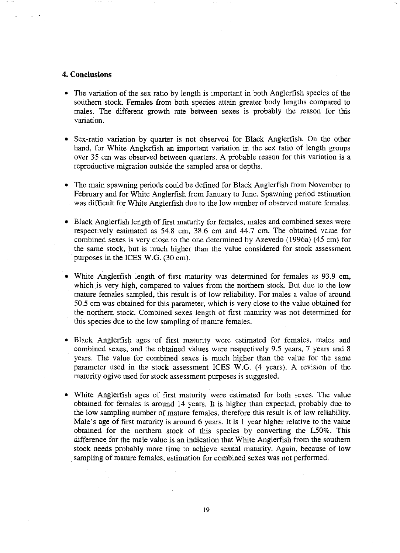## **4. Conclusions**

- The variation of the sex ratio by length is important in both Anglerfish species of the southern stock. Females from both species attain greater body lengths compared to males. The different growth rate between sexes is probably the reason for this variation.
- Sex-ratio variation by quarter is not observed for Black Anglerfish. On the other hand, for White Anglerfish an important variation in the sex ratio of length groups over 35 cm was observed between quarters. A probable reason for this variation is a reproductive migration outside the sampled area or depths.
- The main spawning periods could be defined for Black Anglerfish from November to February and for White Anglerfish from January to June. Spawning period estimation was difficult for White Anglerfish due to the low number of observed mature females.
- Black Anglerfish length of first maturity for females, males and combined sexes were respectively estimated as 54.8 cm, 38.6 cm and 44.7 cm. The obtained value for combined sexes is very close to the one determined by Azevedo (l996a) (45 cm) for the same stock, but is much higher than the value considered for stock assessment purposes in the ICES W.G. (30 cm).
- White Anglerfish length of first maturity was determined for females as 93.9 cm, which is very high, compared to values from the northern stock. But due to the low mature females sampled, this result is of low reliability. For males a value of around 50.S cm was obtained for this parameter, which is very close to the value obtained for the northern stock. Combined sexes length of first maturity was not determined for this species due to the low sampling of mature females.
- Black Anglerfish ages of first maturity were estimated for females, males and combined sexes, and the obtained values were respectively 9.S years, 7 years and 8 years. The value for combined sexes is much higher than the value for the same parameter used in the stock assessment ICES W.G. (4 years). A revision of the maturity ogive used for stock assessment purposes is suggested.
- White Anglerfish ages of first maturity were estimated for both sexes. The value obtained for females is around 14 years. **It** is higher than expected, probably due to the low sampling number of mature females, therefore this result is of low reliability. Male's age of first maturity is around 6 years. **It** is I year higher relative to the value obtained for the northern stock of this species by converting the LSO%. This difference for the male value is an indication that White Anglerfish from the southern stock needs probably more time to achieve sexual maturity. Again, because of low sampling of mature females, estimation for combined sexes was not performed.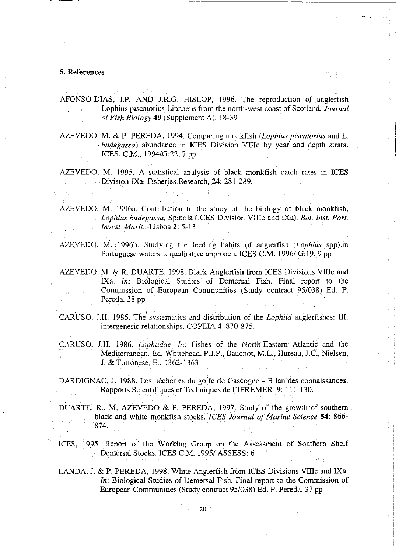## 5. References

AFONSO-DIAS, I.P. AND J.R.G. HISLOP, 1996. The reproduction of anglerfish Lophius piscatorius Linnaeus from the nerth-west ceast ef Scotland. *Journal of Fish Biology* **49** (Supplement A), 18-39

医神经病毒 特性

AZEVEDO, M. & P. PEREDA, 1994. Comparing monkfish *(Lophius piscatorius* and *L. budegassa*) abundance in ICES Division VIIIc by year and depth strata. ICES, e.M., 1994/G:22, 7 pp

AZEVEDO, M. 1995. A statistical analysis of black monkfish catch rates in ICES Divisien IXa. Fisheries Research, 24: 281-289.

AZEVEDO, M. 1996a. Contribution to the study of the biology of black monkfish, *Lophius budegassa, Spinola (ICES Division VIIIc and IXa). Bol. Inst. Port. Invest, Marít., Lisboa 2: 5-13* 

AZEVEDO, M. 1996b. Studying the feeding habits of anglerfish *(Lophius* spp).in Portuguese waters: a qualitative approach. ICES C.M. 1996/ G:19, 9 pp.

AZEVEDO, M. & R. DUARTE, 1998. Black Anglerfish from ICES Divisions VIIIc and IXa. *In:* Biological Studies of Demersal Fish. Final report to the Commission of European Communities (Study contract 95/038) Ed. P. Pereda. 38 pp

CARUSO, J.H. 1985. The systematics and distribution ef the *Lophiid* anglerfishes: III. intergeneric relationships. COPEIA 4: 870-875.

CARUSO, J.H. 1986. *Lophiidae. In:* Fishes of the North-Eastern Atlantic and the Mediterranean. Ed. Whitehead, P.J.P., Bauchot, M.L., Hureau, J.C., Nielsen, J. & Tertenese. E.: 1362-1363

DARDIGNAC, J. 1988. Les pêcheries du golfe de Gascogne - Bilan des connaissances. Rapports Scientifiques et Techniques de l'IFREMER 9: 111-130.

DUARTE, R., M. AZEVEDO & P. PEREDA, 1997. Study of the growth of southern black and white menkfish stocks. *ICES Journal of Marine Science* 54: 866- 874.

ICES, 1995. Report of the Working Group on the Assessment of Southern Shelf Demersal Stocks. ICES C.M. 1995/ASSESS: 6

LANDA, J. & P. PEREDA, 1998. White Anglerfish from ICES Divisions VIIIc and IXa. *In*: Biological Studies of Demersal Fish. Final report to the Commission of European Communities (Study contract 95/038) Ed. P. Pereda. 37 pp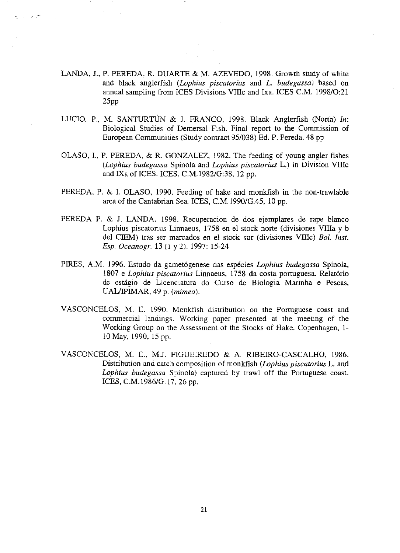LANDA, J., P. PEREDA, R. DUARTE & M. AZEVEDO, 1998. Growth study of white and black anglerfish *(Lophius piscatorius* and *L. budegassa)* based on annual sampling from ICES Divisions VIllc and Ixa. ICES C.M. 1998/0:21 25pp

 $\sim$   $\sim$ 

- LUCIO, P., M. SANTURTÚN & J. FRANCO, 1998. Black Anglerfish (North) *In*: Biological Studies of Demersal Fish. Final report to the Commission of European Communities (Study contract 95/038) Ed. P. Pereda. 48 pp
- OLASO, **I.,** P. PEREDA, & R. GONZALEZ, 1982. The feeding of young angler fishes *(Lophius budegassa* Spinola and *Lophius piscatorius* L.) in Division VIllc and IXa of ICES. ICES, C.M.l982/G:38, 12 pp.
- PEREDA, P. & I. OLASO, 1990. Feeding of hake and monkfish in the non-trawlable area of the Cantabrian Sea. ICES, C.M.1990/G.45, 10 pp.
- PEREDA P. & J. LANDA, 1998. Recuperacion de dos ejemplares de rape blanco Lophius piscatorius Linnaeus, 1758 en el stock norte (divisiones VIlla y b del CIEM) tras ser marcados en el stock sur (divisiones VUle) *Eol. Inst. Esp. Oceanogr.* 13 (1 y 2). 1997: 15-24
- PIRES, A.M. 1996. Estudo da gamet6genese das especies *Lophius budegassa* Spinola, 1807 e *Lophius piscatorius* Linnaeus, 1758 da costa portuguesa. Relat6rio de estagio de Licenciatura do Curso de Biologia Marinha e Pescas, UAUIPIMAR, 49 p. *(mimeo).*
- VASCONCELOS, M. E. 1990. Monkfish distribution on the Portuguese coast and commercial landings. Working paper presented at the meeting of the Working Group on the Assessment of the Stocks of Hake. Copenhagen, 1- 10 May, 1990. IS pp.
- VASCONCELOS, M. E., M.J. FIGUEIREDO & A. RIBEIRO-CASCALHO, 1986. Distribution and catch composition of monkfish *(Lophius piscatorius* L. and *Lophius budegassa* Spinola) captured by trawl off the Portuguese coast. ICES, C.M.1986/G:17, 26 pp.